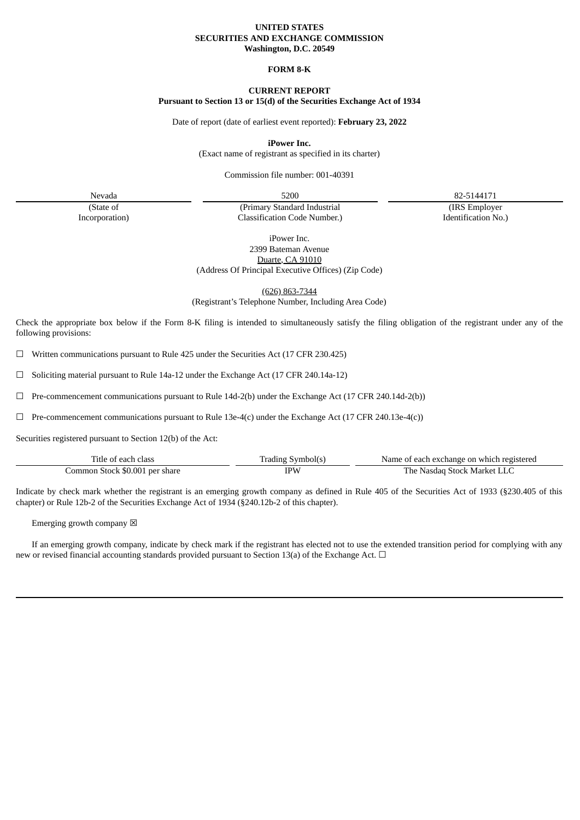#### **UNITED STATES SECURITIES AND EXCHANGE COMMISSION Washington, D.C. 20549**

### **FORM 8-K**

# **CURRENT REPORT**

### **Pursuant to Section 13 or 15(d) of the Securities Exchange Act of 1934**

Date of report (date of earliest event reported): **February 23, 2022**

**iPower Inc.**

(Exact name of registrant as specified in its charter)

Commission file number: 001-40391

(IRS Employer Identification No.)

(State of

Incorporation)

Nevada 5200 82-5144171 (Primary Standard Industrial Classification Code Number.)

> iPower Inc. 2399 Bateman Avenue Duarte, CA 91010 (Address Of Principal Executive Offices) (Zip Code)

> > (626) 863-7344

(Registrant's Telephone Number, Including Area Code)

Check the appropriate box below if the Form 8-K filing is intended to simultaneously satisfy the filing obligation of the registrant under any of the following provisions:

 $\Box$  Written communications pursuant to Rule 425 under the Securities Act (17 CFR 230.425)

☐ Soliciting material pursuant to Rule 14a-12 under the Exchange Act (17 CFR 240.14a-12)

☐ Pre-commencement communications pursuant to Rule 14d-2(b) under the Exchange Act (17 CFR 240.14d-2(b))

☐ Pre-commencement communications pursuant to Rule 13e-4(c) under the Exchange Act (17 CFR 240.13e-4(c))

Securities registered pursuant to Section 12(b) of the Act:

| Litle of each class            | Symbolls<br>radıng | Name of each exchange on which registered |
|--------------------------------|--------------------|-------------------------------------------|
| Common Stock \$0.001 per share | <b>TDIA</b>        | The Nasdag Stock Market Ll                |

Indicate by check mark whether the registrant is an emerging growth company as defined in Rule 405 of the Securities Act of 1933 (§230.405 of this chapter) or Rule 12b-2 of the Securities Exchange Act of 1934 (§240.12b-2 of this chapter).

Emerging growth company  $\boxtimes$ 

If an emerging growth company, indicate by check mark if the registrant has elected not to use the extended transition period for complying with any new or revised financial accounting standards provided pursuant to Section 13(a) of the Exchange Act.  $\Box$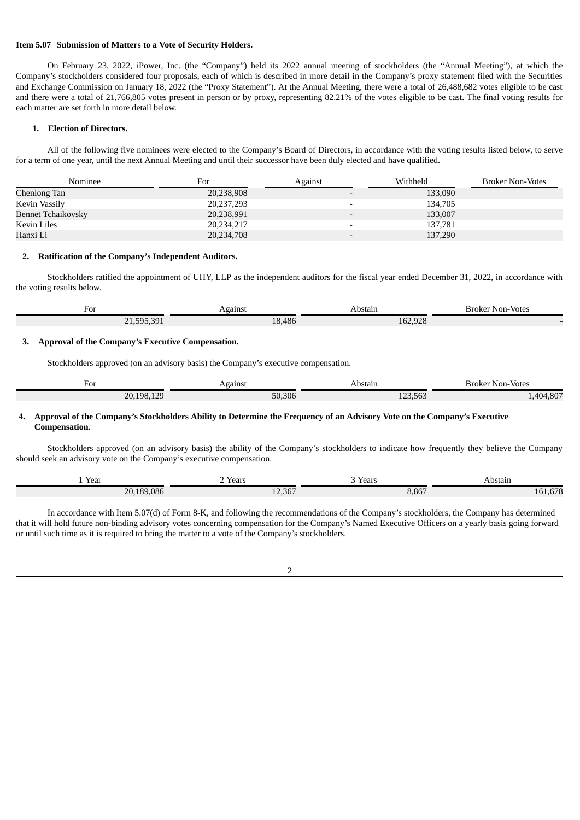#### **Item 5.07 Submission of Matters to a Vote of Security Holders.**

On February 23, 2022, iPower, Inc. (the "Company") held its 2022 annual meeting of stockholders (the "Annual Meeting"), at which the Company's stockholders considered four proposals, each of which is described in more detail in the Company's proxy statement filed with the Securities and Exchange Commission on January 18, 2022 (the "Proxy Statement"). At the Annual Meeting, there were a total of 26,488,682 votes eligible to be cast and there were a total of 21,766,805 votes present in person or by proxy, representing 82.21% of the votes eligible to be cast. The final voting results for each matter are set forth in more detail below.

### **1. Election of Directors.**

All of the following five nominees were elected to the Company's Board of Directors, in accordance with the voting results listed below, to serve for a term of one year, until the next Annual Meeting and until their successor have been duly elected and have qualified.

| Nominee                   | For        | Against                  | Withheld | <b>Broker Non-Votes</b> |
|---------------------------|------------|--------------------------|----------|-------------------------|
| Chenlong Tan              | 20,238,908 |                          | 133,090  |                         |
| Kevin Vassily             | 20,237,293 |                          | 134.705  |                         |
| <b>Bennet Tchaikovsky</b> | 20,238,991 |                          | 133,007  |                         |
| Kevin Liles               | 20,234,217 | $\overline{\phantom{0}}$ | 137.781  |                         |
| Hanxi Li                  | 20,234,708 |                          | 137,290  |                         |

#### **2. Ratification of the Company's Independent Auditors.**

Stockholders ratified the appointment of UHY, LLP as the independent auditors for the fiscal year ended December 31, 2022, in accordance with the voting results below.

| For                                 | `gainst | Abstain | Broker Non-Votes |
|-------------------------------------|---------|---------|------------------|
| 391<br>505<br>$\mathbf{D}$<br>,,,,, | 18,486  | 162,928 |                  |

#### **3. Approval of the Company's Executive Compensation.**

Stockholders approved (on an advisory basis) the Company's executive compensation.

| For<br>$\sim$ $\sim$ $\sim$ $\sim$ | anns!  | υνιαπι                     | Non-Votes<br>Broker<br>. |
|------------------------------------|--------|----------------------------|--------------------------|
| 108<br>120<br>20.<br>__            | 50,306 | $-0n$<br>$\sim$<br>140,00J | $00-1$<br>40 A<br>+.OU.  |

#### 4. Approval of the Company's Stockholders Ability to Determine the Frequency of an Advisory Vote on the Company's Executive **Compensation.**

Stockholders approved (on an advisory basis) the ability of the Company's stockholders to indicate how frequently they believe the Company should seek an advisory vote on the Company's executive compensation.

| Year<br>$\sim$ $\sim$ $\sim$ | Years<br>. | Years<br>. | Abstain<br>.               |
|------------------------------|------------|------------|----------------------------|
| 20.189.086                   | 12,367     | 8,867      | CDO<br>$\mathbf{h}$<br>b/8 |

In accordance with Item 5.07(d) of Form 8-K, and following the recommendations of the Company's stockholders, the Company has determined that it will hold future non-binding advisory votes concerning compensation for the Company's Named Executive Officers on a yearly basis going forward or until such time as it is required to bring the matter to a vote of the Company's stockholders.

2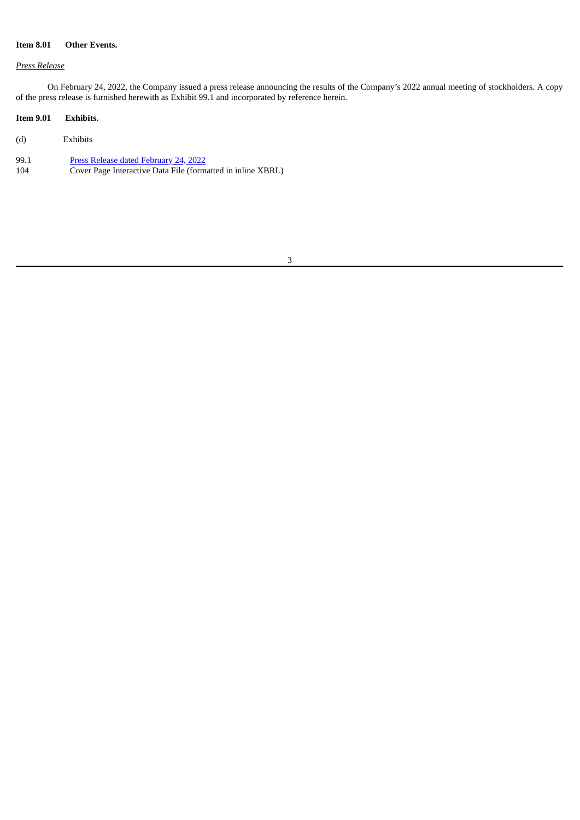## **Item 8.01 Other Events.**

#### *Press Release*

On February 24, 2022, the Company issued a press release announcing the results of the Company's 2022 annual meeting of stockholders. A copy of the press release is furnished herewith as Exhibit 99.1 and incorporated by reference herein.

### **Item 9.01 Exhibits.**

- (d) Exhibits
- 99.1 Press Release dated [February](#page-4-0) 24, 2022<br>104 Cover Page Interactive Data File (form Cover Page Interactive Data File (formatted in inline XBRL)

#### 3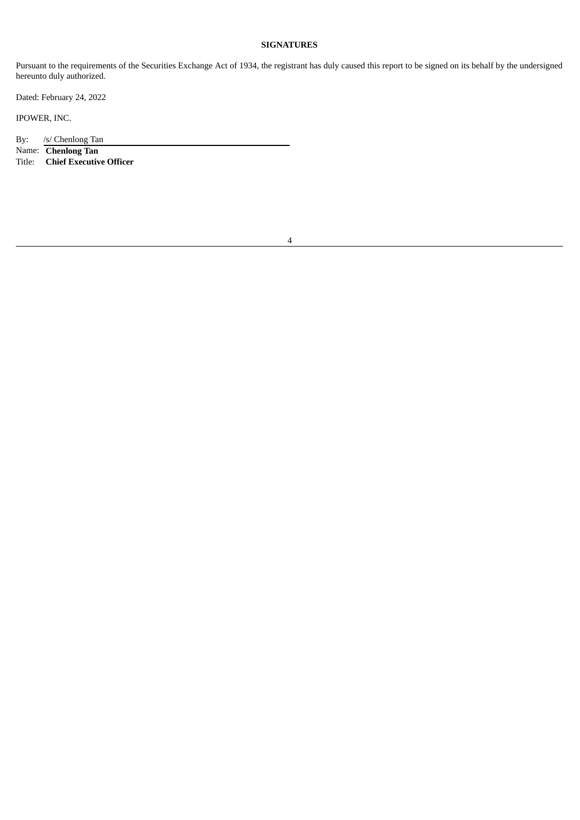## **SIGNATURES**

Pursuant to the requirements of the Securities Exchange Act of 1934, the registrant has duly caused this report to be signed on its behalf by the undersigned hereunto duly authorized.

Dated: February 24, 2022

IPOWER, INC.

By: /s/ Chenlong Tan

Name: **Chenlong Tan**

**Chief Executive Officer**